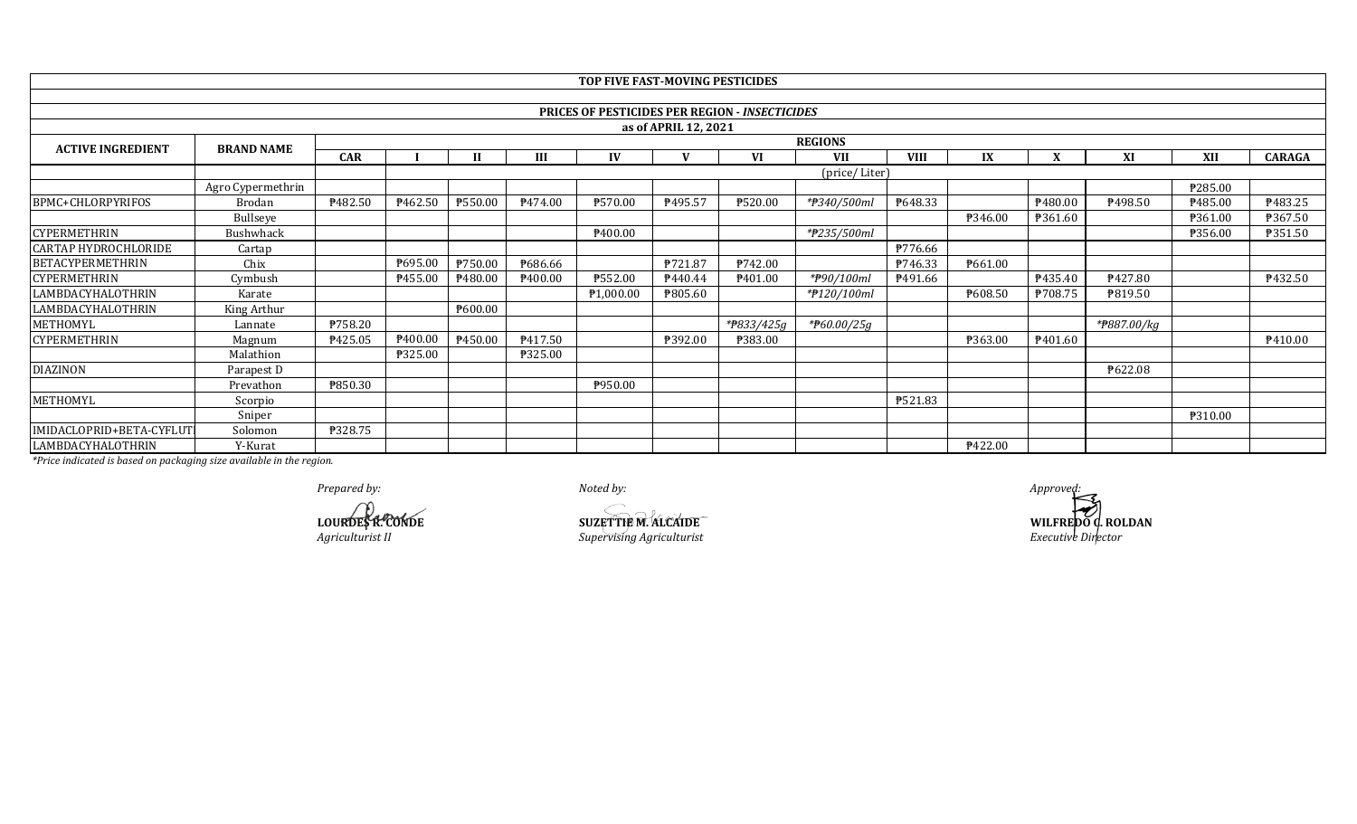|                             |                   |            |                     |         |                     | TOP FIVE FAST-MOVING PESTICIDES |         |                                                |                |                     |         |         |             |            |               |
|-----------------------------|-------------------|------------|---------------------|---------|---------------------|---------------------------------|---------|------------------------------------------------|----------------|---------------------|---------|---------|-------------|------------|---------------|
|                             |                   |            |                     |         |                     |                                 |         |                                                |                |                     |         |         |             |            |               |
|                             |                   |            |                     |         |                     |                                 |         | PRICES OF PESTICIDES PER REGION - INSECTICIDES |                |                     |         |         |             |            |               |
| as of APRIL 12, 2021        |                   |            |                     |         |                     |                                 |         |                                                |                |                     |         |         |             |            |               |
| <b>ACTIVE INGREDIENT</b>    | <b>BRAND NAME</b> |            |                     |         |                     |                                 |         |                                                | <b>REGIONS</b> |                     |         |         |             |            |               |
|                             |                   | <b>CAR</b> |                     | Н       | Ш                   | IV                              |         | VI                                             | <b>VII</b>     | <b>VIII</b>         | IX      | X       | XI          | <b>XII</b> | <b>CARAGA</b> |
|                             |                   |            | (price/Liter)       |         |                     |                                 |         |                                                |                |                     |         |         |             |            |               |
|                             | Agro Cypermethrin |            |                     |         |                     |                                 |         |                                                |                |                     |         |         |             | P285.00    |               |
| <b>BPMC+CHLORPYRIFOS</b>    | Brodan            | ₱482.50    | P462.50             | ₱550.00 | P474.00             | P570.00                         | ₱495.57 | ₱520.00                                        | *#340/500ml    | P648.33             |         | P480.00 | ₱498.50     | P485.00    | ₱483.25       |
|                             | Bullseye          |            |                     |         |                     |                                 |         |                                                |                |                     | ₱346.00 | ₱361.60 |             | ₱361.00    | ₱367.50       |
| <b>CYPERMETHRIN</b>         | Bushwhack         |            |                     |         |                     | <b>\400.00</b>                  |         |                                                | *#235/500ml    |                     |         |         |             | ₱356.00    | ₱351.50       |
| <b>CARTAP HYDROCHLORIDE</b> | Cartap            |            |                     |         |                     |                                 |         |                                                |                | ₱776.66             |         |         |             |            |               |
| BETACYPERMETHRIN            | Chix              |            | ₱695.00             | ₱750.00 | ₱686.66             |                                 | ₱721.87 | ₱742.00                                        |                | P746.33             | ₱661.00 |         |             |            |               |
| <b>CYPERMETHRIN</b>         | Cymbush           |            | P455.00             | P480.00 | P <sub>400.00</sub> | P552.00                         | P440.44 | P <sub>401.00</sub>                            | *#90/100ml     | P <sub>491.66</sub> |         | ₱435.40 | ₱427.80     |            | P432.50       |
| LAMBDACYHALOTHRIN           | Karate            |            |                     |         |                     | P1,000.00                       | ₱805.60 |                                                | *#120/100ml    |                     | ₱608.50 | P708.75 | ₱819.50     |            |               |
| LAMBDACYHALOTHRIN           | King Arthur       |            |                     | ₱600.00 |                     |                                 |         |                                                |                |                     |         |         |             |            |               |
| METHOMYL                    | Lannate           | ₱758.20    |                     |         |                     |                                 |         | *#833/425g                                     | * $F60.00/25g$ |                     |         |         | *#887.00/kg |            |               |
| <b>CYPERMETHRIN</b>         | Magnum            | P425.05    | P <sub>400.00</sub> | ₱450.00 | P417.50             |                                 | ₱392.00 | <b>P383.00</b>                                 |                |                     | ₱363.00 | P401.60 |             |            | P410.00       |
|                             | Malathion         |            | ₱325.00             |         | ₱325.00             |                                 |         |                                                |                |                     |         |         |             |            |               |
| <b>DIAZINON</b>             | Parapest D        |            |                     |         |                     |                                 |         |                                                |                |                     |         |         | ₱622.08     |            |               |
|                             | Prevathon         | ₱850.30    |                     |         |                     | ₱950.00                         |         |                                                |                |                     |         |         |             |            |               |
| METHOMYL                    | Scorpio           |            |                     |         |                     |                                 |         |                                                |                | ₱521.83             |         |         |             |            |               |
|                             | Sniper            |            |                     |         |                     |                                 |         |                                                |                |                     |         |         |             | ₱310.00    |               |
| IMIDACLOPRID+BETA-CYFLUT    | Solomon           | ₱328.75    |                     |         |                     |                                 |         |                                                |                |                     |         |         |             |            |               |
| LAMBDACYHALOTHRIN           | Y-Kurat           |            |                     |         |                     |                                 |         |                                                |                |                     | ₱422.00 |         |             |            |               |

*Prepared by: Noted by: Approved:*

**Agriculturist II CONDE**<br>*Agriculturist II Supervising Agriculturist* **LOURDES R. CONDE SUZETTIE M. ALCAIDE**

**WILFREDO G. ROLDAN**<br>*Executive Director*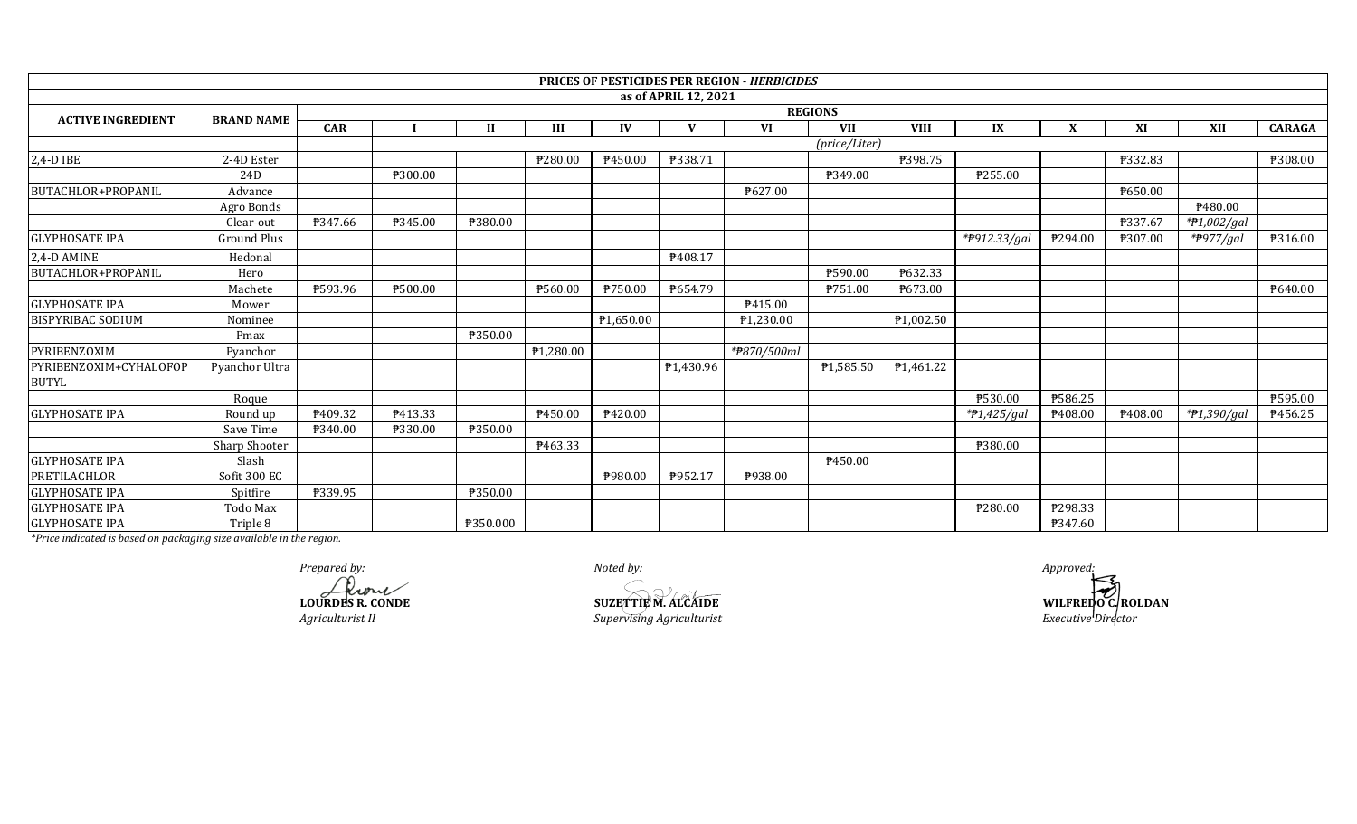|                                        |                    |            |         |                |           |                |                      | <b>PRICES OF PESTICIDES PER REGION - HERBICIDES</b> |                |             |               |         |         |               |               |
|----------------------------------------|--------------------|------------|---------|----------------|-----------|----------------|----------------------|-----------------------------------------------------|----------------|-------------|---------------|---------|---------|---------------|---------------|
|                                        |                    |            |         |                |           |                | as of APRIL 12, 2021 |                                                     |                |             |               |         |         |               |               |
| <b>ACTIVE INGREDIENT</b>               | <b>BRAND NAME</b>  |            |         |                |           |                |                      |                                                     | <b>REGIONS</b> |             |               |         |         |               |               |
|                                        |                    | <b>CAR</b> |         | $\mathbf{I}$   | III       | IV             | V                    | VI                                                  | <b>VII</b>     | <b>VIII</b> | IX            | X       | XI      | XII           | <b>CARAGA</b> |
|                                        |                    |            |         |                |           |                |                      |                                                     | (price/Liter)  |             |               |         |         |               |               |
| 2,4-D IBE                              | 2-4D Ester         |            |         |                | ₱280.00   | P450.00        | ₱338.71              |                                                     |                | ₱398.75     |               |         | P332.83 |               | P308.00       |
|                                        | 24D                |            | ₱300.00 |                |           |                |                      |                                                     | P349.00        |             | ₱255.00       |         |         |               |               |
| BUTACHLOR+PROPANIL                     | Advance            |            |         |                |           |                |                      | ₱627.00                                             |                |             |               |         | P650.00 |               |               |
|                                        | Agro Bonds         |            |         |                |           |                |                      |                                                     |                |             |               |         |         | P480.00       |               |
|                                        | Clear-out          | P347.66    | P345.00 | ₱380.00        |           |                |                      |                                                     |                |             |               |         | ₱337.67 | *#1,002/gal   |               |
| <b>GLYPHOSATE IPA</b>                  | <b>Ground Plus</b> |            |         |                |           |                |                      |                                                     |                |             | *P912.33/gal  | P294.00 | ₱307.00 | *#977/gal     | P316.00       |
| 2,4-D AMINE                            | Hedonal            |            |         |                |           |                | P408.17              |                                                     |                |             |               |         |         |               |               |
| BUTACHLOR+PROPANIL                     | Hero               |            |         |                |           |                |                      |                                                     | P590.00        | ₱632.33     |               |         |         |               |               |
|                                        | Machete            | ₱593.96    | ₱500.00 |                | P560.00   | <b>P750.00</b> | P654.79              |                                                     | P751.00        | P673.00     |               |         |         |               | P640.00       |
| <b>GLYPHOSATE IPA</b>                  | Mower              |            |         |                |           |                |                      | P415.00                                             |                |             |               |         |         |               |               |
| <b>BISPYRIBAC SODIUM</b>               | Nominee            |            |         |                |           | ₱1,650.00      |                      | P <sub>1.230.00</sub>                               |                | P1,002.50   |               |         |         |               |               |
|                                        | Pmax               |            |         | <b>P350.00</b> |           |                |                      |                                                     |                |             |               |         |         |               |               |
| PYRIBENZOXIM                           | Pyanchor           |            |         |                | P1,280.00 |                |                      | *#870/500ml                                         |                |             |               |         |         |               |               |
| PYRIBENZOXIM+CYHALOFOP<br><b>BUTYL</b> | Pyanchor Ultra     |            |         |                |           |                | P1,430.96            |                                                     | ₱1,585.50      | P1,461.22   |               |         |         |               |               |
|                                        | Roque              |            |         |                |           |                |                      |                                                     |                |             | ₱530.00       | ₱586.25 |         |               | ₱595.00       |
| <b>GLYPHOSATE IPA</b>                  | Round up           | P409.32    | P413.33 |                | P450.00   | ₱420.00        |                      |                                                     |                |             | $*P1,425/gal$ | P408.00 | P408.00 | $*P1,390/gal$ | P456.25       |
|                                        | Save Time          | ₱340.00    | ₱330.00 | <b>P350.00</b> |           |                |                      |                                                     |                |             |               |         |         |               |               |
|                                        | Sharp Shooter      |            |         |                | P463.33   |                |                      |                                                     |                |             | ₱380.00       |         |         |               |               |
| <b>GLYPHOSATE IPA</b>                  | Slash              |            |         |                |           |                |                      |                                                     | P450.00        |             |               |         |         |               |               |
| PRETILACHLOR                           | Sofit 300 EC       |            |         |                |           | ₱980.00        | P952.17              | P938.00                                             |                |             |               |         |         |               |               |
| <b>GLYPHOSATE IPA</b>                  | Spitfire           | ₱339.95    |         | ₱350.00        |           |                |                      |                                                     |                |             |               |         |         |               |               |
| <b>GLYPHOSATE IPA</b>                  | Todo Max           |            |         |                |           |                |                      |                                                     |                |             | ₱280.00       | P298.33 |         |               |               |
| <b>GLYPHOSATE IPA</b>                  | Triple 8           |            |         | ₱350.000       |           |                |                      |                                                     |                |             |               | P347.60 |         |               |               |

*Prepared by:*<br> *Approved:*<br> **ALCAIDE**<br> **ALCAIDE**<br> **ALCAIDE**<br> **ALCAIDE**<br> **ALCAIDE LOURDES REPORTED MALGAIDE** 

*Agriculturist II Supervising Agriculturist Executive Director*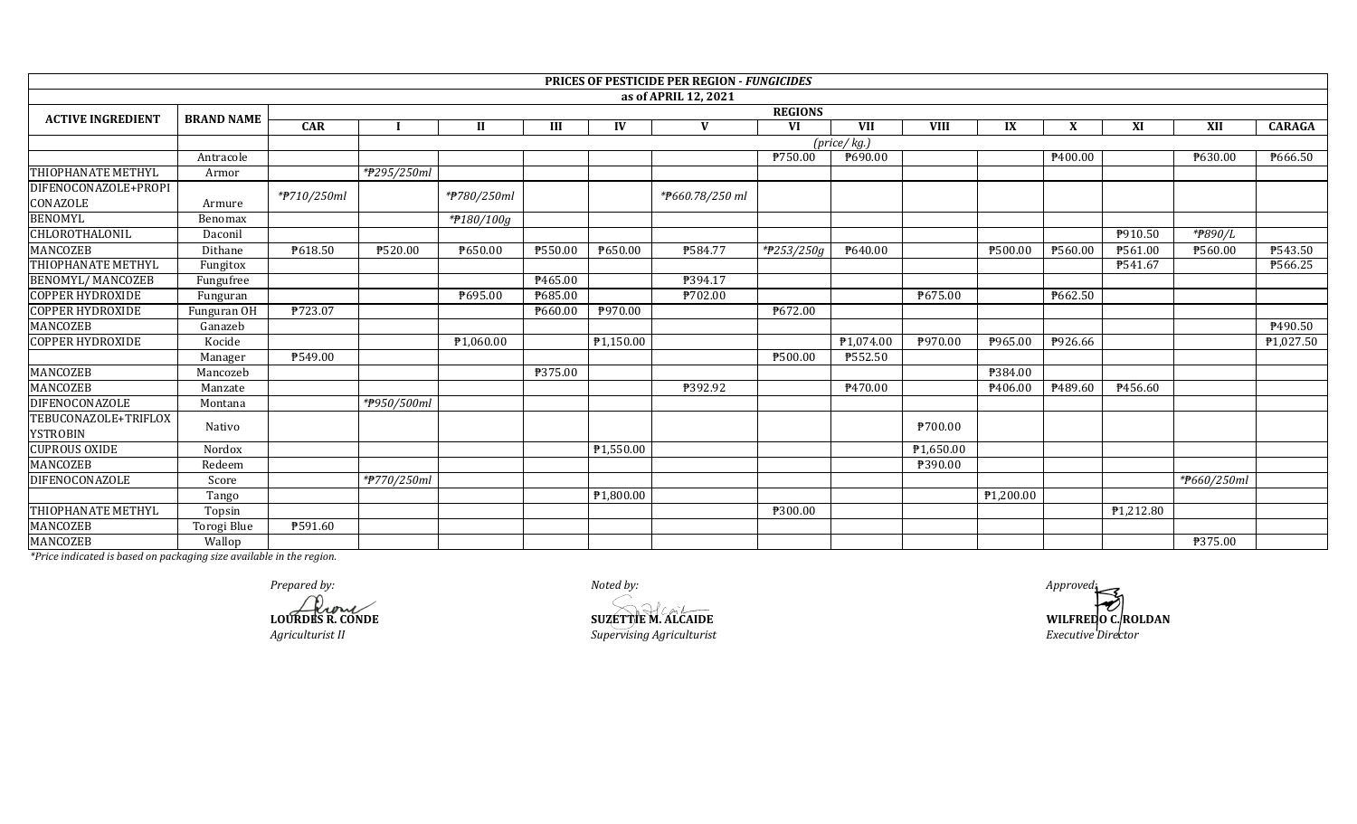|                           |                   |                             |             |              |                |                        | PRICES OF PESTICIDE PER REGION - FUNGICIDES |            |            |                       |           |         |                        |             |                      |
|---------------------------|-------------------|-----------------------------|-------------|--------------|----------------|------------------------|---------------------------------------------|------------|------------|-----------------------|-----------|---------|------------------------|-------------|----------------------|
|                           |                   |                             |             |              |                |                        | as of APRIL 12, 2021                        |            |            |                       |           |         |                        |             |                      |
| <b>ACTIVE INGREDIENT</b>  | <b>BRAND NAME</b> | <b>REGIONS</b>              |             |              |                |                        |                                             |            |            |                       |           |         |                        |             |                      |
|                           |                   | <b>CAR</b>                  |             | $\mathbf{I}$ | III            | IV                     | $\mathbf{V}$                                | <b>VI</b>  | <b>VII</b> | <b>VIII</b>           | IX        | X       | XI                     | XII         | <b>CARAGA</b>        |
|                           |                   | $(\text{price}/\text{kg.})$ |             |              |                |                        |                                             |            |            |                       |           |         |                        |             |                      |
|                           | Antracole         |                             |             |              |                |                        |                                             | ₱750.00    | P690.00    |                       |           | P400.00 |                        | ₱630.00     | $\overline{$666.50}$ |
| <b>THIOPHANATE METHYL</b> | Armor             |                             | *#295/250ml |              |                |                        |                                             |            |            |                       |           |         |                        |             |                      |
| DIFENOCONAZOLE+PROPI      |                   | *#710/250ml                 |             | *#780/250ml  |                |                        | *#660.78/250 ml                             |            |            |                       |           |         |                        |             |                      |
| CONAZOLE                  | Armure            |                             |             |              |                |                        |                                             |            |            |                       |           |         |                        |             |                      |
| <b>BENOMYL</b>            | Benomax           |                             |             | *#180/100g   |                |                        |                                             |            |            |                       |           |         |                        |             |                      |
| CHLOROTHALONIL            | Daconil           |                             |             |              |                |                        |                                             |            |            |                       |           |         | P910.50                | *#890/L     |                      |
| <b>MANCOZEB</b>           | Dithane           | P618.50                     | ₱520.00     | P650.00      | ₱550.00        | P650.00                | ₱584.77                                     | *#253/250g | P640.00    |                       | ₱500.00   | ₱560.00 | P561.00                | ₱560.00     | ₱543.50              |
| THIOPHANATE METHYL        | Fungitox          |                             |             |              |                |                        |                                             |            |            |                       |           |         | P541.67                |             | ₱566.25              |
| <b>BENOMYL/ MANCOZEB</b>  | Fungufree         |                             |             |              | P465.00        |                        | P394.17                                     |            |            |                       |           |         |                        |             |                      |
| <b>COPPER HYDROXIDE</b>   | Funguran          |                             |             | P695.00      | P685.00        |                        | <b>\702.00</b>                              |            |            | P675.00               |           | P662.50 |                        |             |                      |
| <b>COPPER HYDROXIDE</b>   | Funguran OH       | ₱723.07                     |             |              | ₱660.00        | P970.00                |                                             | ₱672.00    |            |                       |           |         |                        |             |                      |
| MANCOZEB                  | Ganazeb           |                             |             |              |                |                        |                                             |            |            |                       |           |         |                        |             | P490.50              |
| <b>COPPER HYDROXIDE</b>   | Kocide            |                             |             | ₱1,060.00    |                | $\overline{P1,150.00}$ |                                             |            | P1,074.00  | ₱970.00               | ₱965.00   | P926.66 |                        |             | ₱1,027.50            |
|                           | Manager           | ₱549.00                     |             |              |                |                        |                                             | ₱500.00    | ₱552.50    |                       |           |         |                        |             |                      |
| <b>MANCOZEB</b>           | Mancozeb          |                             |             |              | <b>P375.00</b> |                        |                                             |            |            |                       | ₱384.00   |         |                        |             |                      |
| <b>MANCOZEB</b>           | Manzate           |                             |             |              |                |                        | ₱392.92                                     |            | P470.00    |                       | P406.00   | P489.60 | P456.60                |             |                      |
| DIFENOCONAZOLE            | Montana           |                             | *#950/500ml |              |                |                        |                                             |            |            |                       |           |         |                        |             |                      |
| TEBUCONAZOLE+TRIFLOX      |                   |                             |             |              |                |                        |                                             |            |            | P700.00               |           |         |                        |             |                      |
| <b>YSTROBIN</b>           | Nativo            |                             |             |              |                |                        |                                             |            |            |                       |           |         |                        |             |                      |
| <b>CUPROUS OXIDE</b>      | Nordox            |                             |             |              |                | P <sub>1,550.00</sub>  |                                             |            |            | P <sub>1,650.00</sub> |           |         |                        |             |                      |
| <b>MANCOZEB</b>           | Redeem            |                             |             |              |                |                        |                                             |            |            | ₱390.00               |           |         |                        |             |                      |
| DIFENOCONAZOLE            | Score             |                             | *#770/250ml |              |                |                        |                                             |            |            |                       |           |         |                        | *#660/250ml |                      |
|                           | Tango             |                             |             |              |                | ₱1,800.00              |                                             |            |            |                       | ₱1,200.00 |         |                        |             |                      |
| THIOPHANATE METHYL        | Topsin            |                             |             |              |                |                        |                                             | ₱300.00    |            |                       |           |         | P <sub>1</sub> ,212.80 |             |                      |
| <b>MANCOZEB</b>           | Torogi Blue       | ₱591.60                     |             |              |                |                        |                                             |            |            |                       |           |         |                        |             |                      |
| <b>MANCOZEB</b>           | Wallop            |                             |             |              |                |                        |                                             |            |            |                       |           |         |                        | ₱375.00     |                      |

Prepared by:<br> **COURDES R. CONDE** 

Agriculturist II

Noted by: **SUZETTIE M. ALCAIDE** Supervising Agriculturist

Approvedi WILFREDO C. ROLDAN Executive Director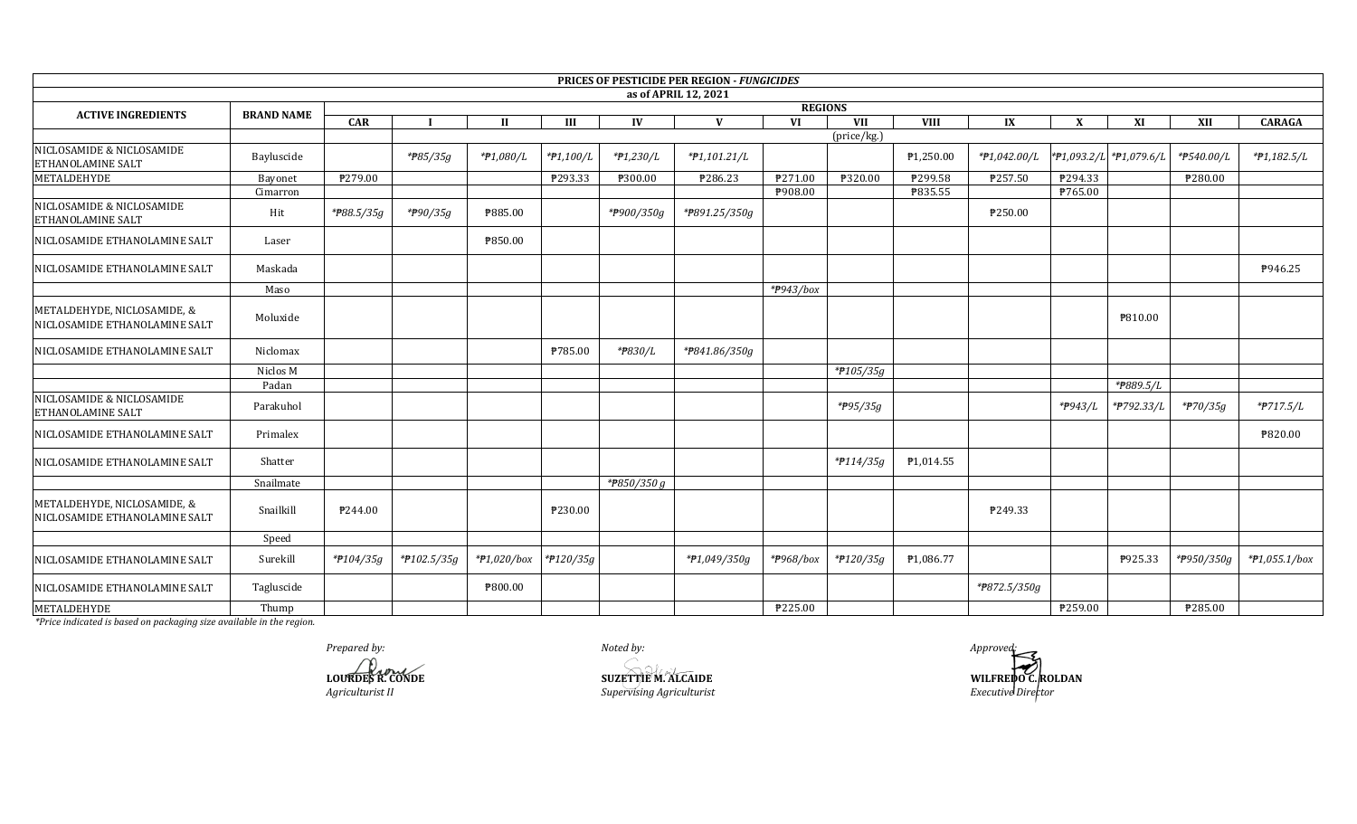|                                                              |                   |            |                        |                |             |                 | PRICES OF PESTICIDE PER REGION - FUNGICIDES |                             |                      |             |              |              |                         |            |                 |
|--------------------------------------------------------------|-------------------|------------|------------------------|----------------|-------------|-----------------|---------------------------------------------|-----------------------------|----------------------|-------------|--------------|--------------|-------------------------|------------|-----------------|
|                                                              |                   |            |                        |                |             |                 | as of APRIL 12, 2021                        |                             |                      |             |              |              |                         |            |                 |
| <b>ACTIVE INGREDIENTS</b>                                    | <b>BRAND NAME</b> | <b>CAR</b> |                        | $\mathbf{H}$   | III         | IV              | $\mathbf{V}$                                | <b>REGIONS</b><br><b>VI</b> | VII                  | <b>VIII</b> | IX           | $\mathbf{x}$ | XI                      | XII        | <b>CARAGA</b>   |
|                                                              |                   |            |                        |                |             |                 |                                             |                             | (price/kg.)          |             |              |              |                         |            |                 |
| NICLOSAMIDE & NICLOSAMIDE<br><b>ETHANOLAMINE SALT</b>        | Bayluscide        |            | * <del>P</del> 85/35g  | *#1,080/L      | $*P1,100/L$ | $*P1,230/L$     | $*P1,101.21/L$                              |                             |                      | ₱1,250.00   | *#1,042.00/L |              | *#1,093.2/L *#1,079.6/L | *#540.00/L | *#1,182.5/L     |
| METALDEHYDE                                                  | Bayonet           | P279.00    |                        |                | ₱293.33     | P300.00         | ₹286.23                                     | ₱271.00                     | ₱320.00              | ₱299.58     | ₱257.50      | P294.33      |                         | ₱280.00    |                 |
|                                                              | Cimarron          |            |                        |                |             |                 |                                             | P908.00                     |                      | ₱835.55     |              | ₱765.00      |                         |            |                 |
| NICLOSAMIDE & NICLOSAMIDE<br><b>ETHANOLAMINE SALT</b>        | Hit               | *#88.5/35g | *#90/35g               | ₱885.00        |             | *#900/350g      | *#891.25/350g                               |                             |                      |             | ₱250.00      |              |                         |            |                 |
| NICLOSAMIDE ETHANOLAMINE SALT                                | Laser             |            |                        | ₱850.00        |             |                 |                                             |                             |                      |             |              |              |                         |            |                 |
| NICLOSAMIDE ETHANOLAMINE SALT                                | Maskada           |            |                        |                |             |                 |                                             |                             |                      |             |              |              |                         |            | P946.25         |
|                                                              | Maso              |            |                        |                |             |                 |                                             | $*$ <del>P</del> 943/box    |                      |             |              |              |                         |            |                 |
| METALDEHYDE, NICLOSAMIDE, &<br>NICLOSAMIDE ETHANOLAMINE SALT | Moluxide          |            |                        |                |             |                 |                                             |                             |                      |             |              |              | ₱810.00                 |            |                 |
| NICLOSAMIDE ETHANOLAMINE SALT                                | Niclomax          |            |                        |                | ₱785.00     | *#830/L         | *P841.86/350g                               |                             |                      |             |              |              |                         |            |                 |
|                                                              | Niclos M          |            |                        |                |             |                 |                                             |                             | $*$ <b>P</b> 105/35g |             |              |              |                         |            |                 |
|                                                              | Padan             |            |                        |                |             |                 |                                             |                             |                      |             |              |              | $*_{\cancel{P}889.5/L}$ |            |                 |
| NICLOSAMIDE & NICLOSAMIDE<br><b>ETHANOLAMINE SALT</b>        | Parakuhol         |            |                        |                |             |                 |                                             |                             | *P95/35g             |             |              | *#943/L      | *#792.33/L              | *#70/35g   | *#717.5/L       |
| NICLOSAMIDE ETHANOLAMINE SALT                                | Primalex          |            |                        |                |             |                 |                                             |                             |                      |             |              |              |                         |            | ₱820.00         |
| NICLOSAMIDE ETHANOLAMINE SALT                                | Shatter           |            |                        |                |             |                 |                                             |                             | *#114/35g            | P1,014.55   |              |              |                         |            |                 |
|                                                              | Snailmate         |            |                        |                |             | *** $850/350 g$ |                                             |                             |                      |             |              |              |                         |            |                 |
| METALDEHYDE, NICLOSAMIDE, &<br>NICLOSAMIDE ETHANOLAMINE SALT | Snailkill         | P244.00    |                        |                | ₱230.00     |                 |                                             |                             |                      |             | ₱249.33      |              |                         |            |                 |
|                                                              | Speed             |            |                        |                |             |                 |                                             |                             |                      |             |              |              |                         |            |                 |
| NICLOSAMIDE ETHANOLAMINE SALT                                | Surekill          | *#104/35g  | $*$ <b>P</b> 102.5/35g | $*P1,020/b$ ox | *#120/35g   |                 | *#1,049/350g                                | $*$ <del>P</del> 968/box    | *#120/35g            | ₱1,086.77   |              |              | P925.33                 | *#950/350g | $*P1,055.1/box$ |
| NICLOSAMIDE ETHANOLAMINE SALT                                | Tagluscide        |            |                        | ₱800.00        |             |                 |                                             |                             |                      |             | *#872.5/350g |              |                         |            |                 |
| <b>METALDEHYDE</b>                                           | Thump             |            |                        |                |             |                 |                                             | ₱225.00                     |                      |             |              | P259.00      |                         | ₱285.00    |                 |

Prepared by: LOURDES R. CONDE

Agriculturist II

Noted by: ╱ **SUZETTEM.ALCAIDE** Supervising Agriculturist

Approved WILFREDO C. ROLDAN Executive Director